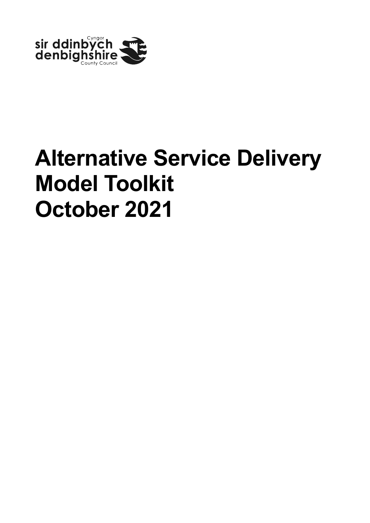

# **Alternative Service Delivery Model Toolkit October 2021**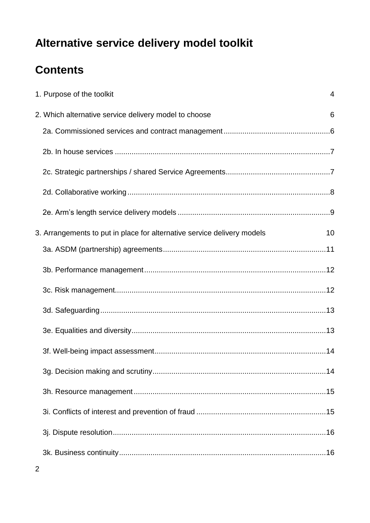# **Contents**

| 1. Purpose of the toolkit                                               | $\overline{4}$ |
|-------------------------------------------------------------------------|----------------|
| 2. Which alternative service delivery model to choose                   | 6              |
|                                                                         |                |
|                                                                         |                |
|                                                                         |                |
|                                                                         |                |
|                                                                         |                |
| 3. Arrangements to put in place for alternative service delivery models | 10             |
|                                                                         |                |
|                                                                         |                |
|                                                                         |                |
|                                                                         |                |
|                                                                         |                |
|                                                                         |                |
|                                                                         |                |
|                                                                         |                |
|                                                                         |                |
|                                                                         |                |
|                                                                         |                |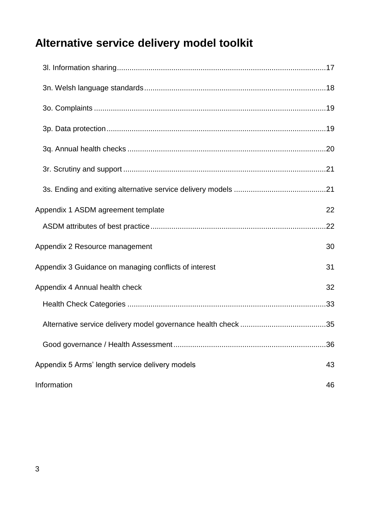| Appendix 1 ASDM agreement template                    | 22 |
|-------------------------------------------------------|----|
|                                                       |    |
| Appendix 2 Resource management                        | 30 |
| Appendix 3 Guidance on managing conflicts of interest | 31 |
| Appendix 4 Annual health check                        | 32 |
|                                                       |    |
|                                                       |    |
|                                                       | 36 |
| Appendix 5 Arms' length service delivery models       | 43 |
| Information                                           | 46 |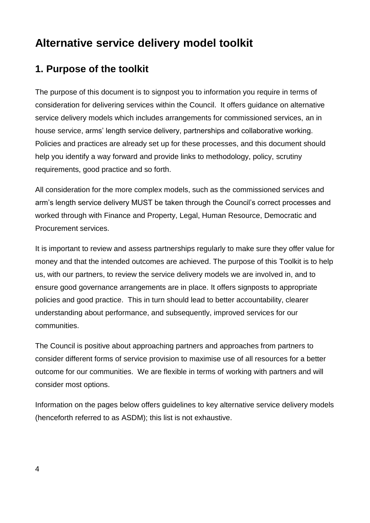### <span id="page-3-0"></span>**1. Purpose of the toolkit**

The purpose of this document is to signpost you to information you require in terms of consideration for delivering services within the Council. It offers guidance on alternative service delivery models which includes arrangements for commissioned services, an in house service, arms' length service delivery, partnerships and collaborative working. Policies and practices are already set up for these processes, and this document should help you identify a way forward and provide links to methodology, policy, scrutiny requirements, good practice and so forth.

All consideration for the more complex models, such as the commissioned services and arm's length service delivery MUST be taken through the Council's correct processes and worked through with Finance and Property, Legal, Human Resource, Democratic and Procurement services.

It is important to review and assess partnerships regularly to make sure they offer value for money and that the intended outcomes are achieved. The purpose of this Toolkit is to help us, with our partners, to review the service delivery models we are involved in, and to ensure good governance arrangements are in place. It offers signposts to appropriate policies and good practice. This in turn should lead to better accountability, clearer understanding about performance, and subsequently, improved services for our communities.

The Council is positive about approaching partners and approaches from partners to consider different forms of service provision to maximise use of all resources for a better outcome for our communities. We are flexible in terms of working with partners and will consider most options.

Information on the pages below offers guidelines to key alternative service delivery models (henceforth referred to as ASDM); this list is not exhaustive.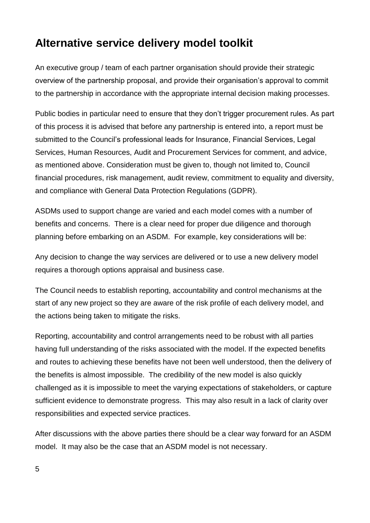An executive group / team of each partner organisation should provide their strategic overview of the partnership proposal, and provide their organisation's approval to commit to the partnership in accordance with the appropriate internal decision making processes.

Public bodies in particular need to ensure that they don't trigger procurement rules. As part of this process it is advised that before any partnership is entered into, a report must be submitted to the Council's professional leads for Insurance, Financial Services, Legal Services, Human Resources, Audit and Procurement Services for comment, and advice, as mentioned above. Consideration must be given to, though not limited to, Council financial procedures, risk management, audit review, commitment to equality and diversity, and compliance with General Data Protection Regulations (GDPR).

ASDMs used to support change are varied and each model comes with a number of benefits and concerns. There is a clear need for proper due diligence and thorough planning before embarking on an ASDM. For example, key considerations will be:

Any decision to change the way services are delivered or to use a new delivery model requires a thorough options appraisal and business case.

The Council needs to establish reporting, accountability and control mechanisms at the start of any new project so they are aware of the risk profile of each delivery model, and the actions being taken to mitigate the risks.

Reporting, accountability and control arrangements need to be robust with all parties having full understanding of the risks associated with the model. If the expected benefits and routes to achieving these benefits have not been well understood, then the delivery of the benefits is almost impossible. The credibility of the new model is also quickly challenged as it is impossible to meet the varying expectations of stakeholders, or capture sufficient evidence to demonstrate progress. This may also result in a lack of clarity over responsibilities and expected service practices.

After discussions with the above parties there should be a clear way forward for an ASDM model. It may also be the case that an ASDM model is not necessary.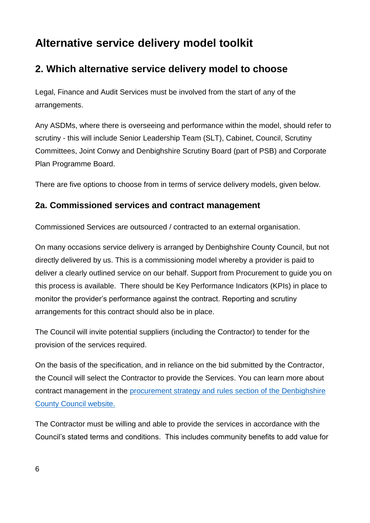### <span id="page-5-0"></span>**2. Which alternative service delivery model to choose**

Legal, Finance and Audit Services must be involved from the start of any of the arrangements.

Any ASDMs, where there is overseeing and performance within the model, should refer to scrutiny - this will include Senior Leadership Team (SLT), Cabinet, Council, Scrutiny Committees, Joint Conwy and Denbighshire Scrutiny Board (part of PSB) and Corporate Plan Programme Board.

There are five options to choose from in terms of service delivery models, given below.

#### <span id="page-5-1"></span>**2a. Commissioned services and contract management**

Commissioned Services are outsourced / contracted to an external organisation.

On many occasions service delivery is arranged by Denbighshire County Council, but not directly delivered by us. This is a commissioning model whereby a provider is paid to deliver a clearly outlined service on our behalf. Support from Procurement to guide you on this process is available. There should be Key Performance Indicators (KPIs) in place to monitor the provider's performance against the contract. Reporting and scrutiny arrangements for this contract should also be in place.

The Council will invite potential suppliers (including the Contractor) to tender for the provision of the services required.

On the basis of the specification, and in reliance on the bid submitted by the Contractor, the Council will select the Contractor to provide the Services. You can learn more about contract management in the [procurement strategy and rules section of the Denbighshire](https://www.denbighshire.gov.uk/en/business/selling-to-the-council/procurement-strategy-and-rules.aspx)  [County Council website.](https://www.denbighshire.gov.uk/en/business/selling-to-the-council/procurement-strategy-and-rules.aspx) 

The Contractor must be willing and able to provide the services in accordance with the Council's stated terms and conditions. This includes community benefits to add value for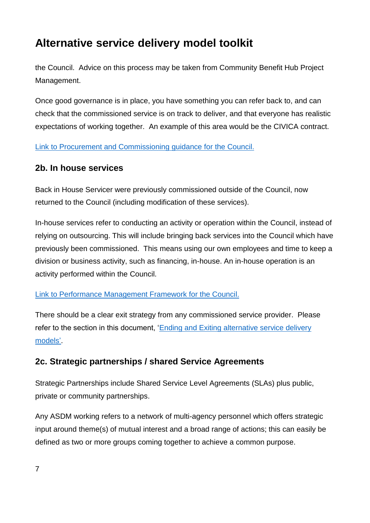the Council. Advice on this process may be taken from Community Benefit Hub Project Management.

Once good governance is in place, you have something you can refer back to, and can check that the commissioned service is on track to deliver, and that everyone has realistic expectations of working together. An example of this area would be the CIVICA contract.

[Link to Procurement and Commissioning guidance](https://www.denbighshire.gov.uk/en/business/selling-to-the-council/procurement-strategy-and-rules.aspx) for the Council.

#### <span id="page-6-0"></span>**2b. In house services**

Back in House Servicer were previously commissioned outside of the Council, now returned to the Council (including modification of these services).

In-house services refer to conducting an activity or operation within the Council, instead of relying on outsourcing. This will include bringing back services into the Council which have previously been commissioned. This means using our own employees and time to keep a division or business activity, such as financing, in-house. An in-house operation is an activity performed within the Council.

#### [Link to Performance Management Framework for the Council.](https://www.denbighshire.gov.uk/en/your-council/about-the-council/reviewing-the-councils-performance.aspx)

There should be a clear exit strategy from any commissioned service provider. Please refer to the section in this document, 'Ending and Exiting alternative service delivery [models'.](#page-20-1)

### <span id="page-6-1"></span>**2c. Strategic partnerships / shared Service Agreements**

Strategic Partnerships include Shared Service Level Agreements (SLAs) plus public, private or community partnerships.

Any ASDM working refers to a network of multi-agency personnel which offers strategic input around theme(s) of mutual interest and a broad range of actions; this can easily be defined as two or more groups coming together to achieve a common purpose.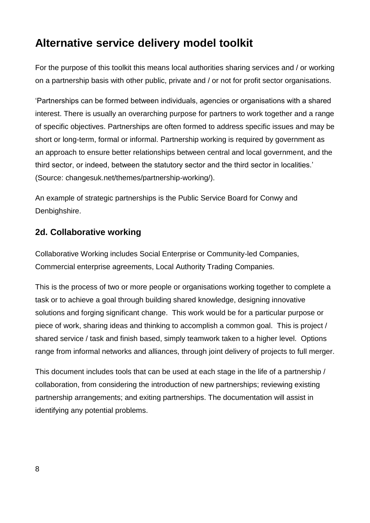For the purpose of this toolkit this means local authorities sharing services and / or working on a partnership basis with other public, private and / or not for profit sector organisations.

'Partnerships can be formed between individuals, agencies or organisations with a shared interest. There is usually an overarching purpose for partners to work together and a range of specific objectives. Partnerships are often formed to address specific issues and may be short or long-term, formal or informal. Partnership working is required by government as an approach to ensure better relationships between central and local government, and the third sector, or indeed, between the statutory sector and the third sector in localities.' (Source: [changesuk.net/themes/partnership-working/\)](file://///southfs01/home$/Car44236/changesuk.net/themes/partnership-working/).

An example of strategic partnerships is the Public Service Board for Conwy and Denbighshire.

### <span id="page-7-0"></span>**2d. Collaborative working**

Collaborative Working includes Social Enterprise or Community-led Companies, Commercial enterprise agreements, Local Authority Trading Companies.

This is the process of two or more people or organisations working together to complete a task or to achieve a goal through building shared knowledge, designing innovative solutions and forging significant change. This work would be for a particular purpose or piece of work, sharing ideas and thinking to accomplish a common goal. This is project / shared service / task and finish based, simply teamwork taken to a higher level. Options range from informal networks and alliances, through joint delivery of projects to full merger.

This document includes tools that can be used at each stage in the life of a partnership / collaboration, from considering the introduction of new partnerships; reviewing existing partnership arrangements; and exiting partnerships. The documentation will assist in identifying any potential problems.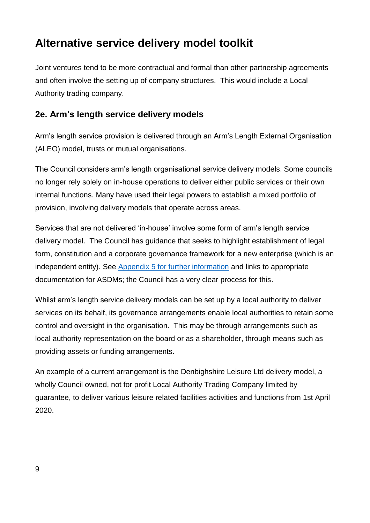Joint ventures tend to be more contractual and formal than other partnership agreements and often involve the setting up of company structures. This would include a Local Authority trading company.

### <span id="page-8-0"></span>**2e. Arm's length service delivery models**

Arm's length service provision is delivered through an Arm's Length External Organisation (ALEO) model, trusts or mutual organisations.

The Council considers arm's length organisational service delivery models. Some councils no longer rely solely on in-house operations to deliver either public services or their own internal functions. Many have used their legal powers to establish a mixed portfolio of provision, involving delivery models that operate across areas.

Services that are not delivered 'in-house' involve some form of arm's length service delivery model. The Council has guidance that seeks to highlight establishment of legal form, constitution and a corporate governance framework for a new enterprise (which is an independent entity). See [Appendix 5 for further information](#page-42-0) and links to appropriate documentation for ASDMs; the Council has a very clear process for this.

Whilst arm's length service delivery models can be set up by a local authority to deliver services on its behalf, its governance arrangements enable local authorities to retain some control and oversight in the organisation. This may be through arrangements such as local authority representation on the board or as a shareholder, through means such as providing assets or funding arrangements.

An example of a current arrangement is the Denbighshire Leisure Ltd delivery model, a wholly Council owned, not for profit Local Authority Trading Company limited by guarantee, to deliver various leisure related facilities activities and functions from 1st April 2020.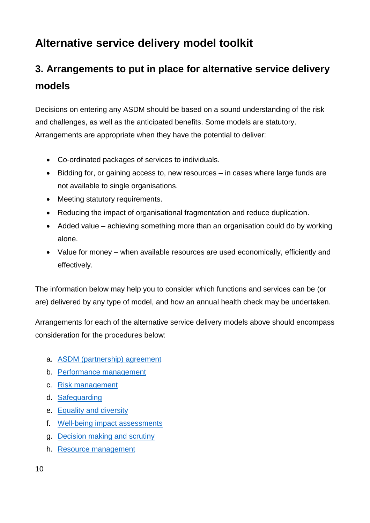# <span id="page-9-0"></span>**3. Arrangements to put in place for alternative service delivery models**

Decisions on entering any ASDM should be based on a sound understanding of the risk and challenges, as well as the anticipated benefits. Some models are statutory. Arrangements are appropriate when they have the potential to deliver:

- Co-ordinated packages of services to individuals.
- Bidding for, or gaining access to, new resources in cases where large funds are not available to single organisations.
- Meeting statutory requirements.
- Reducing the impact of organisational fragmentation and reduce duplication.
- Added value achieving something more than an organisation could do by working alone.
- Value for money when available resources are used economically, efficiently and effectively.

The information below may help you to consider which functions and services can be (or are) delivered by any type of model, and how an annual health check may be undertaken.

Arrangements for each of the alternative service delivery models above should encompass consideration for the procedures below:

- a. ASDM [\(partnership\) agreement](#page-10-0)
- b. [Performance management](#page-11-0)
- c. [Risk management](#page-11-1)
- d. Safeguarding
- e. [Equality and diversity](#page-12-1)
- f. [Well-being impact assessments](#page-13-0)
- g. [Decision making and scrutiny](#page-13-1)
- h. [Resource management](#page-14-2)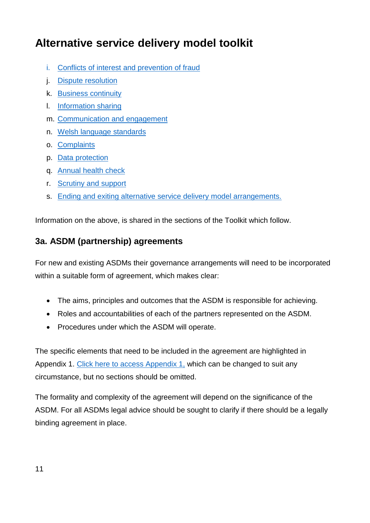- i. Conflicts of interest [and prevention of fraud](#page-14-1)
- j. Dispute resolution
- k. [Business continuity](#page-15-1)
- l. [Information sharing](#page-16-0)
- m. [Communication and engagement](#page-16-1)
- n. [Welsh language standards](#page-17-0)
- o. Complaints
- p. [Data protection](#page-18-1)
- q. Annual health check
- r. [Scrutiny and support](#page-20-0)
- s. [Ending and exiting alternative service delivery model arrangements.](#page-20-1)

Information on the above, is shared in the sections of the Toolkit which follow.

### <span id="page-10-0"></span>**3a. ASDM (partnership) agreements**

For new and existing ASDMs their governance arrangements will need to be incorporated within a suitable form of agreement, which makes clear:

- The aims, principles and outcomes that the ASDM is responsible for achieving.
- Roles and accountabilities of each of the partners represented on the ASDM.
- Procedures under which the ASDM will operate.

The specific elements that need to be included in the agreement are highlighted in Appendix 1. [Click here to access Appendix 1,](#page-21-0) which can be changed to suit any circumstance, but no sections should be omitted.

The formality and complexity of the agreement will depend on the significance of the ASDM. For all ASDMs legal advice should be sought to clarify if there should be a legally binding agreement in place.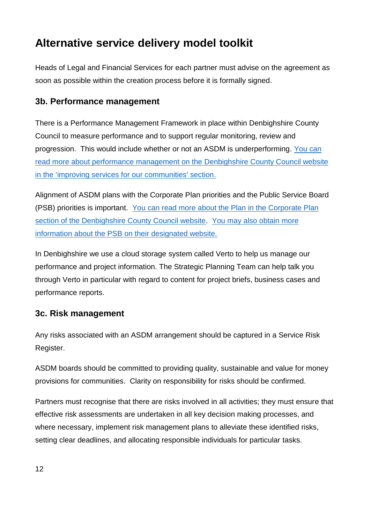Heads of Legal and Financial Services for each partner must advise on the agreement as soon as possible within the creation process before it is formally signed.

### <span id="page-11-0"></span>**3b. Performance management**

There is a Performance Management Framework in place within Denbighshire County Council to measure performance and to support regular monitoring, review and progression. This would include whether or not an ASDM is underperforming. [You can](https://www.denbighshire.gov.uk/en/your-council/about-the-council/reviewing-the-councils-performance.aspx)  [read more about performance management on the Denbighshire County Council website](https://www.denbighshire.gov.uk/en/your-council/about-the-council/reviewing-the-councils-performance.aspx)  [in the 'improving services for our communities'](https://www.denbighshire.gov.uk/en/your-council/about-the-council/reviewing-the-councils-performance.aspx) section.

Alignment of ASDM plans with the Corporate Plan priorities and the Public Service Board (PSB) priorities is important. [You can read more about the Plan in the Corporate Plan](https://www.denbighshire.gov.uk/en/your-council/strategies-plans-and-policies/plans/corporate-plan/corporate-plan.aspx)  [section of the Denbighshire County Council website.](https://www.denbighshire.gov.uk/en/your-council/strategies-plans-and-policies/plans/corporate-plan/corporate-plan.aspx) [You may also obtain more](https://conwyanddenbighshirelsb.org.uk/well-being-plan/)  [information about the PSB on their designated website.](https://conwyanddenbighshirelsb.org.uk/well-being-plan/)

In Denbighshire we use a cloud storage system called [Verto](https://www.vertocloud.com/denbighshire/(X(1)S(az50lb55etfixy3zk3sqrmjk))/login_02.aspx?AspxAutoDetectCookieSupport=1) to help us manage our performance and project information. The Strategic Planning Team can help talk you through Verto in particular with regard to content for project briefs, business cases and performance reports.

### <span id="page-11-1"></span>**3c. Risk management**

Any risks associated with an ASDM arrangement should be captured in a Service Risk Register.

ASDM boards should be committed to providing quality, sustainable and value for money provisions for communities. Clarity on responsibility for risks should be confirmed.

Partners must recognise that there are risks involved in all activities; they must ensure that effective risk assessments are undertaken in all key decision making processes, and where necessary, implement risk management plans to alleviate these identified risks, setting clear deadlines, and allocating responsible individuals for particular tasks.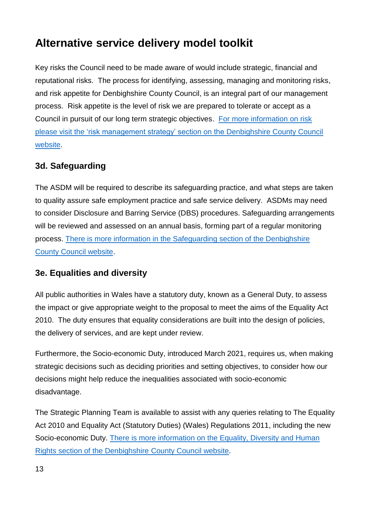Key risks the Council need to be made aware of would include strategic, financial and reputational risks. The process for identifying, assessing, managing and monitoring risks, and risk appetite for Denbighshire County Council, is an integral part of our management process. Risk appetite is the level of risk we are prepared to tolerate or accept as a Council in pursuit of our long term strategic objectives. [For more information on risk](https://www.denbighshire.gov.uk/en/your-council/strategies-plans-and-policies/strategies/risk-management-strategy.aspx)  [please visit the 'risk management strategy' section on the Denbighshire County Council](https://www.denbighshire.gov.uk/en/your-council/strategies-plans-and-policies/strategies/risk-management-strategy.aspx)  [website.](https://www.denbighshire.gov.uk/en/your-council/strategies-plans-and-policies/strategies/risk-management-strategy.aspx)

### <span id="page-12-0"></span>**3d. Safeguarding**

The ASDM will be required to describe its safeguarding practice, and what steps are taken to quality assure safe employment practice and safe service delivery. ASDMs may need to consider Disclosure and Barring Service (DBS) procedures. Safeguarding arrangements will be reviewed and assessed on an annual basis, forming part of a regular monitoring process. [There is more information in the Safeguarding section of the Denbighshire](https://www.denbighshire.gov.uk/en/health-and-social-care/safeguarding/safeguarding.aspx)  [County Council website.](https://www.denbighshire.gov.uk/en/health-and-social-care/safeguarding/safeguarding.aspx)

### <span id="page-12-1"></span>**3e. Equalities and diversity**

All public authorities in Wales have a statutory duty, known as a General Duty, to assess the impact or give appropriate weight to the proposal to meet the aims of the Equality Act 2010. The duty ensures that equality considerations are built into the design of policies, the delivery of services, and are kept under review.

Furthermore, the Socio-economic Duty, introduced March 2021, requires us, when making strategic decisions such as deciding priorities and setting objectives, to consider how our decisions might help reduce the inequalities associated with socio-economic disadvantage.

The Strategic Planning Team is available to assist with any queries relating to The Equality Act 2010 and Equality Act (Statutory Duties) (Wales) Regulations 2011, including the new Socio-economic Duty. [There is more information on the Equality, Diversity and Human](https://www.denbighshire.gov.uk/en/your-council/access-to-information/equality-diversity-and-human-rights.aspx)  [Rights section of the Denbighshire](https://www.denbighshire.gov.uk/en/your-council/access-to-information/equality-diversity-and-human-rights.aspx) County Council website.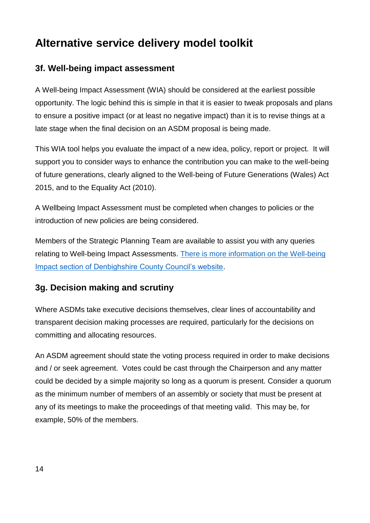### <span id="page-13-0"></span>**3f. Well-being impact assessment**

A Well-being Impact Assessment (WIA) should be considered at the earliest possible opportunity. The logic behind this is simple in that it is easier to tweak proposals and plans to ensure a positive impact (or at least no negative impact) than it is to revise things at a late stage when the final decision on an ASDM proposal is being made.

This WIA tool helps you evaluate the impact of a new idea, policy, report or project. It will support you to consider ways to enhance the contribution you can make to the well-being of future generations, clearly aligned to the Well-being of Future Generations (Wales) Act 2015, and to the Equality Act (2010).

A Wellbeing Impact Assessment must be completed when changes to policies or the introduction of new policies are being considered.

Members of the Strategic Planning Team are available to assist you with any queries relating to Well-being Impact Assessments. [There is more information on the Well-being](http://wellbeing.denbighshire.gov.uk/)  [Impact section of Denbighshire County Council's website.](http://wellbeing.denbighshire.gov.uk/)

#### <span id="page-13-1"></span>**3g. Decision making and scrutiny**

Where ASDMs take executive decisions themselves, clear lines of accountability and transparent decision making processes are required, particularly for the decisions on committing and allocating resources.

An ASDM agreement should state the voting process required in order to make decisions and / or seek agreement. Votes could be cast through the Chairperson and any matter could be decided by a simple majority so long as a quorum is present. Consider a quorum as the minimum number of members of an assembly or society that must be present at any of its meetings to make the proceedings of that meeting valid. This may be, for example, 50% of the members.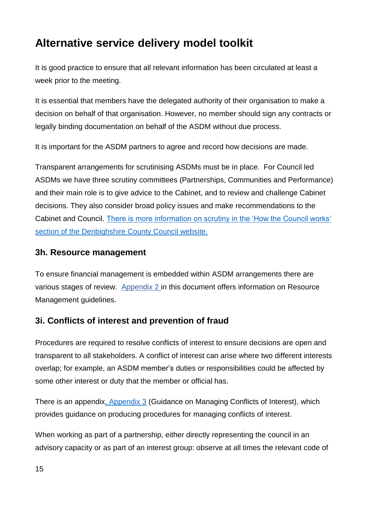It is good practice to ensure that all relevant information has been circulated at least a week prior to the meeting.

It is essential that members have the delegated authority of their organisation to make a decision on behalf of that organisation. However, no member should sign any contracts or legally binding documentation on behalf of the ASDM without due process.

It is important for the ASDM partners to agree and record how decisions are made.

Transparent arrangements for scrutinising ASDMs must be in place. For Council led ASDMs we have three scrutiny committees (Partnerships, Communities and Performance) and their main role is to give advice to the Cabinet, and to review and challenge Cabinet decisions. They also consider broad policy issues and make recommendations to the Cabinet and Council. [There is more information on scrutiny in the 'How the Council works'](https://www.denbighshire.gov.uk/en/your-council/about-the-council/how-the-council-works/how-the-council-works.aspx)  [section of the Denbighshire County Council website.](https://www.denbighshire.gov.uk/en/your-council/about-the-council/how-the-council-works/how-the-council-works.aspx)

#### <span id="page-14-2"></span><span id="page-14-0"></span>**3h. Resource management**

To ensure financial management is embedded within ASDM arrangements there are various stages of review. Appendix 2 [in this document offers information on R](#page-29-0)esource Management guidelines.

### <span id="page-14-1"></span>**3i. Conflicts of interest and prevention of fraud**

Procedures are required to resolve conflicts of interest to ensure decisions are open and transparent to all stakeholders. A conflict of interest can arise where two different interests overlap; for example, an ASDM member's duties or responsibilities could be affected by some other interest or duty that the member or official has.

There is an appendi[x, Appendix 3](#page-30-0) (Guidance on Managing Conflicts of Interest), which provides guidance on producing procedures for managing conflicts of interest.

When working as part of a partnership, either directly representing the council in an advisory capacity or as part of an interest group: observe at all times the relevant code of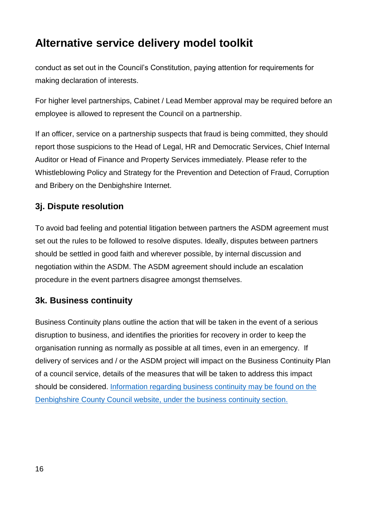conduct as set out in the Council's Constitution, paying attention for requirements for making declaration of interests.

For higher level partnerships, Cabinet / Lead Member approval may be required before an employee is allowed to represent the Council on a partnership.

If an officer, service on a partnership suspects that fraud is being committed, they should report those suspicions to the Head of Legal, HR and Democratic Services, Chief Internal Auditor or Head of Finance and Property Services immediately. Please refer to the Whistleblowing Policy and Strategy for the Prevention and Detection of Fraud, Corruption and Bribery on the Denbighshire Internet.

### <span id="page-15-0"></span>**3j. Dispute resolution**

To avoid bad feeling and potential litigation between partners the ASDM agreement must set out the rules to be followed to resolve disputes. Ideally, disputes between partners should be settled in good faith and wherever possible, by internal discussion and negotiation within the ASDM. The ASDM agreement should include an escalation procedure in the event partners disagree amongst themselves.

### <span id="page-15-1"></span>**3k. Business continuity**

Business Continuity plans outline the action that will be taken in the event of a serious disruption to business, and identifies the priorities for recovery in order to keep the organisation running as normally as possible at all times, even in an emergency. If delivery of services and / or the ASDM project will impact on the Business Continuity Plan of a council service, details of the measures that will be taken to address this impact should be considered. [Information regarding business continuity may be found on the](https://www.denbighshire.gov.uk/en/business/business-support/business-continuity.aspx)  [Denbighshire County Council website, under the business continuity section.](https://www.denbighshire.gov.uk/en/business/business-support/business-continuity.aspx)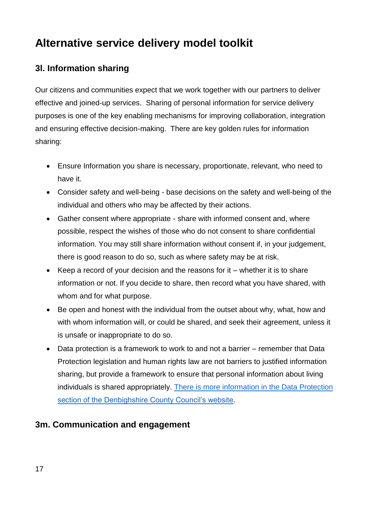### <span id="page-16-0"></span>**3l. Information sharing**

Our citizens and communities expect that we work together with our partners to deliver effective and joined-up services. Sharing of personal information for service delivery purposes is one of the key enabling mechanisms for improving collaboration, integration and ensuring effective decision-making. There are key golden rules for information sharing:

- Ensure Information you share is necessary, proportionate, relevant, who need to have it.
- Consider safety and well-being base decisions on the safety and well-being of the individual and others who may be affected by their actions.
- Gather consent where appropriate share with informed consent and, where possible, respect the wishes of those who do not consent to share confidential information. You may still share information without consent if, in your judgement, there is good reason to do so, such as where safety may be at risk.
- $\bullet$  Keep a record of your decision and the reasons for it whether it is to share information or not. If you decide to share, then record what you have shared, with whom and for what purpose.
- Be open and honest with the individual from the outset about why, what, how and with whom information will, or could be shared, and seek their agreement, unless it is unsafe or inappropriate to do so.
- <span id="page-16-1"></span>• Data protection is a framework to work to and not a barrier – remember that Data Protection legislation and human rights law are not barriers to justified information sharing, but provide a framework to ensure that personal information about living individuals is shared appropriately. [There is more information in the Data Protection](https://www.denbighshire.gov.uk/en/your-council/access-to-information/data-protection.aspx)  [section of the Denbighshire County Council's website.](https://www.denbighshire.gov.uk/en/your-council/access-to-information/data-protection.aspx)

### **3m. Communication and engagement**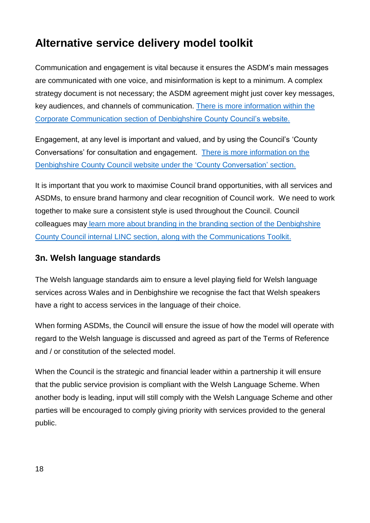Communication and engagement is vital because it ensures the ASDM's main messages are communicated with one voice, and misinformation is kept to a minimum. A complex strategy document is not necessary; the ASDM agreement might just cover key messages, key audiences, and channels of communication. [There is more information within the](https://www.denbighshire.gov.uk/en/news/corporate-communications.aspx)  [Corporate Communication section of Denbighshire County Council's website.](https://www.denbighshire.gov.uk/en/news/corporate-communications.aspx) 

Engagement, at any level is important and valued, and by using the Council's 'County Conversations' for consultation and engagement. [There is more information on the](https://countyconversation.denbighshire.gov.uk/KMS/news.aspx?LoggingIn=tempVar&strTab=Home)  [Denbighshire County Council website under the 'County Conversation'](https://countyconversation.denbighshire.gov.uk/KMS/news.aspx?LoggingIn=tempVar&strTab=Home) section.

It is important that you work to maximise Council brand opportunities, with all services and ASDMs, to ensure brand harmony and clear recognition of Council work. We need to work together to make sure a consistent style is used throughout the Council. Council colleagues may [learn more about branding in the branding section of the Denbighshire](http://linc-ad/sorce/beacon/default.aspx?pageid=branding)  [County Council internal LINC section, along with the Communications Toolkit.](http://linc-ad/sorce/beacon/default.aspx?pageid=branding)

### <span id="page-17-0"></span>**3n. Welsh language standards**

The Welsh language standards aim to ensure a level playing field for Welsh language services across Wales and in Denbighshire we recognise the fact that Welsh speakers have a right to access services in the language of their choice.

When forming ASDMs, the Council will ensure the issue of how the model will operate with regard to the Welsh language is discussed and agreed as part of the Terms of Reference and / or constitution of the selected model.

When the Council is the strategic and financial leader within a partnership it will ensure that the public service provision is compliant with the Welsh Language Scheme. When another body is leading, input will still comply with the Welsh Language Scheme and other parties will be encouraged to comply giving priority with services provided to the general public.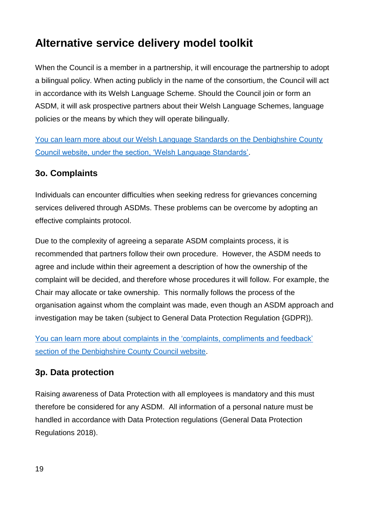When the Council is a member in a partnership, it will encourage the partnership to adopt a bilingual policy. When acting publicly in the name of the consortium, the Council will act in accordance with its Welsh Language Scheme. Should the Council join or form an ASDM, it will ask prospective partners about their Welsh Language Schemes, language policies or the means by which they will operate bilingually.

[You can learn more about our Welsh Language Standards on the Denbighshire County](https://www.denbighshire.gov.uk/en/your-council/about-the-council/welsh-language-standards.aspx)  [Council website, under the section, 'Welsh Language Standards'.](https://www.denbighshire.gov.uk/en/your-council/about-the-council/welsh-language-standards.aspx)

### <span id="page-18-0"></span>**3o. Complaints**

Individuals can encounter difficulties when seeking redress for grievances concerning services delivered through ASDMs. These problems can be overcome by adopting an effective complaints protocol.

Due to the complexity of agreeing a separate ASDM complaints process, it is recommended that partners follow their own procedure. However, the ASDM needs to agree and include within their agreement a description of how the ownership of the complaint will be decided, and therefore whose procedures it will follow. For example, the Chair may allocate or take ownership. This normally follows the process of the organisation against whom the complaint was made, even though an ASDM approach and investigation may be taken (subject to General Data Protection Regulation {GDPR}).

[You can learn more about complaints in the 'complaints, compliments and feedback'](https://www.denbighshire.gov.uk/en/contact-us/complaints-compliments-and-feedback.aspx)  [section of the Denbighshire County Council website.](https://www.denbighshire.gov.uk/en/contact-us/complaints-compliments-and-feedback.aspx)

### <span id="page-18-1"></span>**3p. Data protection**

Raising awareness of Data Protection with all employees is mandatory and this must therefore be considered for any ASDM. All information of a personal nature must be handled in accordance with Data Protection regulations (General Data Protection Regulations 2018).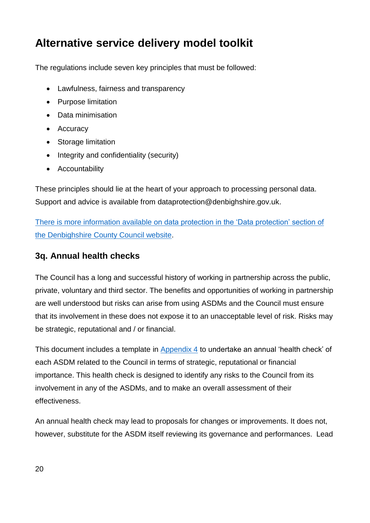The regulations include seven key principles that must be followed:

- Lawfulness, fairness and transparency
- Purpose limitation
- Data minimisation
- Accuracy
- Storage limitation
- $\bullet$  Integrity and confidentiality (security)
- Accountability

These principles should lie at the heart of your approach to processing personal data. Support and advice is available from [dataprotection@denbighshire.gov.uk.](mailto:dataprotection@denbighshire.gov.uk)

There is more information available [on data protection in the 'Data protection' section of](https://www.denbighshire.gov.uk/en/your-council/access-to-information/data-protection.aspx)  [the Denbighshire County Council website.](https://www.denbighshire.gov.uk/en/your-council/access-to-information/data-protection.aspx)

### <span id="page-19-0"></span>**3q. Annual health checks**

The Council has a long and successful history of working in partnership across the public, private, voluntary and third sector. The benefits and opportunities of working in partnership are well understood but risks can arise from using ASDMs and the Council must ensure that its involvement in these does not expose it to an unacceptable level of risk. Risks may be strategic, reputational and / or financial.

This document includes a template in [Appendix 4](#page-31-0) to undertake an annual 'health check' of each ASDM related to the Council in terms of strategic, reputational or financial importance. This health check is designed to identify any risks to the Council from its involvement in any of the ASDMs, and to make an overall assessment of their effectiveness.

An annual health check may lead to proposals for changes or improvements. It does not, however, substitute for the ASDM itself reviewing its governance and performances. Lead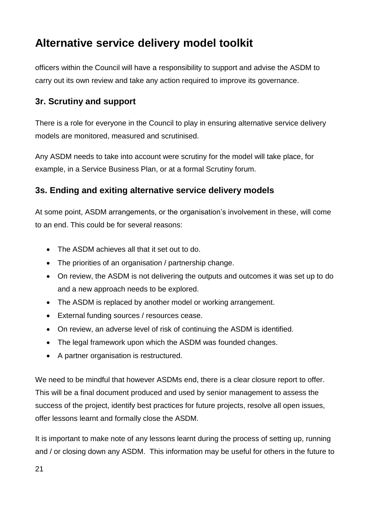officers within the Council will have a responsibility to support and advise the ASDM to carry out its own review and take any action required to improve its governance.

### <span id="page-20-0"></span>**3r. Scrutiny and support**

There is a role for everyone in the Council to play in ensuring alternative service delivery models are monitored, measured and scrutinised.

Any ASDM needs to take into account were scrutiny for the model will take place, for example, in a Service Business Plan, or at a formal Scrutiny forum.

### <span id="page-20-1"></span>**3s. Ending and exiting alternative service delivery models**

At some point, ASDM arrangements, or the organisation's involvement in these, will come to an end. This could be for several reasons:

- The ASDM achieves all that it set out to do.
- The priorities of an organisation / partnership change.
- On review, the ASDM is not delivering the outputs and outcomes it was set up to do and a new approach needs to be explored.
- The ASDM is replaced by another model or working arrangement.
- External funding sources / resources cease.
- On review, an adverse level of risk of continuing the ASDM is identified.
- The legal framework upon which the ASDM was founded changes.
- A partner organisation is restructured.

We need to be mindful that however ASDMs end, there is a clear closure report to offer. This will be a final document produced and used by senior management to assess the success of the project, identify best practices for future projects, resolve all open issues, offer lessons learnt and formally close the ASDM.

It is important to make note of any lessons learnt during the process of setting up, running and / or closing down any ASDM. This information may be useful for others in the future to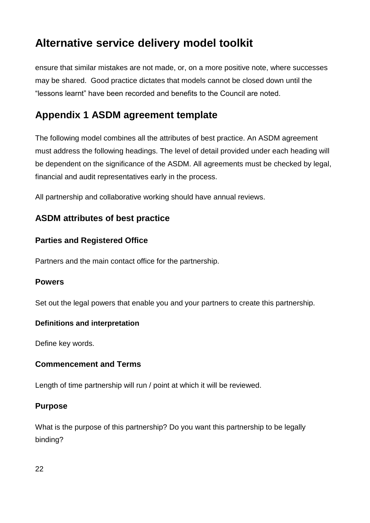ensure that similar mistakes are not made, or, on a more positive note, where successes may be shared. Good practice dictates that models cannot be closed down until the "lessons learnt" have been recorded and benefits to the Council are noted.

### <span id="page-21-0"></span>**Appendix 1 ASDM agreement template**

The following model combines all the attributes of best practice. An ASDM agreement must address the following headings. The level of detail provided under each heading will be dependent on the significance of the ASDM. All agreements must be checked by legal, financial and audit representatives early in the process.

All partnership and collaborative working should have annual reviews.

#### <span id="page-21-1"></span>**ASDM attributes of best practice**

#### **Parties and Registered Office**

Partners and the main contact office for the partnership.

#### **Powers**

Set out the legal powers that enable you and your partners to create this partnership.

#### **Definitions and interpretation**

Define key words.

#### **Commencement and Terms**

Length of time partnership will run / point at which it will be reviewed.

#### **Purpose**

What is the purpose of this partnership? Do you want this partnership to be legally binding?

22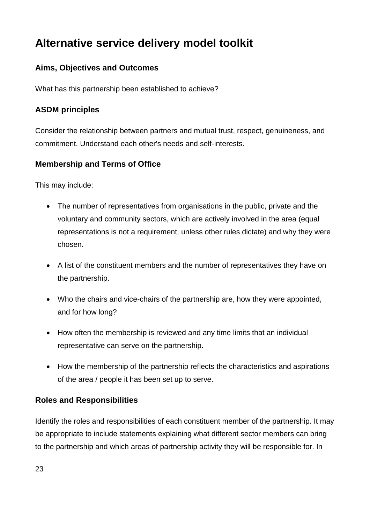### **Aims, Objectives and Outcomes**

What has this partnership been established to achieve?

#### **ASDM principles**

Consider the relationship between partners and mutual trust, respect, genuineness, and commitment. Understand each other's needs and self-interests.

#### **Membership and Terms of Office**

This may include:

- The number of representatives from organisations in the public, private and the voluntary and community sectors, which are actively involved in the area (equal representations is not a requirement, unless other rules dictate) and why they were chosen.
- A list of the constituent members and the number of representatives they have on the partnership.
- Who the chairs and vice-chairs of the partnership are, how they were appointed, and for how long?
- How often the membership is reviewed and any time limits that an individual representative can serve on the partnership.
- How the membership of the partnership reflects the characteristics and aspirations of the area / people it has been set up to serve.

#### **Roles and Responsibilities**

Identify the roles and responsibilities of each constituent member of the partnership. It may be appropriate to include statements explaining what different sector members can bring to the partnership and which areas of partnership activity they will be responsible for. In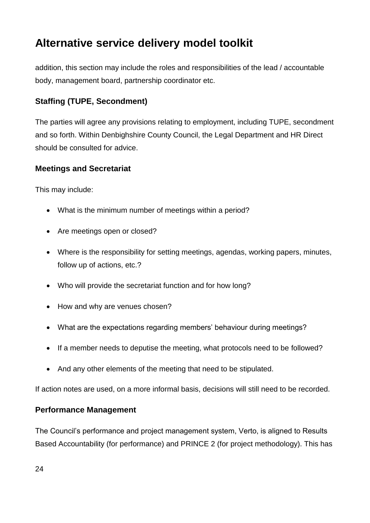addition, this section may include the roles and responsibilities of the lead / accountable body, management board, partnership coordinator etc.

### **Staffing (TUPE, Secondment)**

The parties will agree any provisions relating to employment, including TUPE, secondment and so forth. Within Denbighshire County Council, the Legal Department and HR Direct should be consulted for advice.

#### **Meetings and Secretariat**

This may include:

- What is the minimum number of meetings within a period?
- Are meetings open or closed?
- Where is the responsibility for setting meetings, agendas, working papers, minutes, follow up of actions, etc.?
- Who will provide the secretariat function and for how long?
- How and why are venues chosen?
- What are the expectations regarding members' behaviour during meetings?
- If a member needs to deputise the meeting, what protocols need to be followed?
- And any other elements of the meeting that need to be stipulated.

If action notes are used, on a more informal basis, decisions will still need to be recorded.

#### **Performance Management**

The Council's performance and project management system, Verto, is aligned to Results Based Accountability (for performance) and PRINCE 2 (for project methodology). This has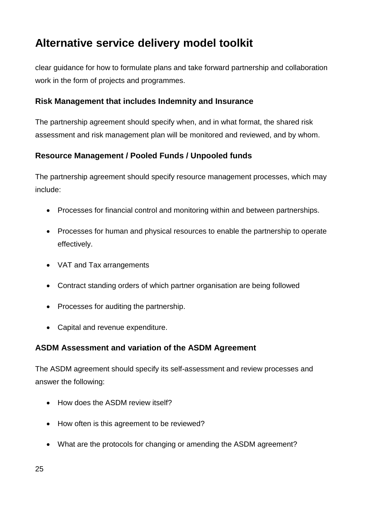clear guidance for how to formulate plans and take forward partnership and collaboration work in the form of projects and programmes.

#### **Risk Management that includes Indemnity and Insurance**

The partnership agreement should specify when, and in what format, the shared risk assessment and risk management plan will be monitored and reviewed, and by whom.

#### **Resource Management / Pooled Funds / Unpooled funds**

The partnership agreement should specify resource management processes, which may include:

- Processes for financial control and monitoring within and between partnerships.
- Processes for human and physical resources to enable the partnership to operate effectively.
- VAT and Tax arrangements
- Contract standing orders of which partner organisation are being followed
- Processes for auditing the partnership.
- Capital and revenue expenditure.

#### **ASDM Assessment and variation of the ASDM Agreement**

The ASDM agreement should specify its self-assessment and review processes and answer the following:

- How does the ASDM review itself?
- How often is this agreement to be reviewed?
- What are the protocols for changing or amending the ASDM agreement?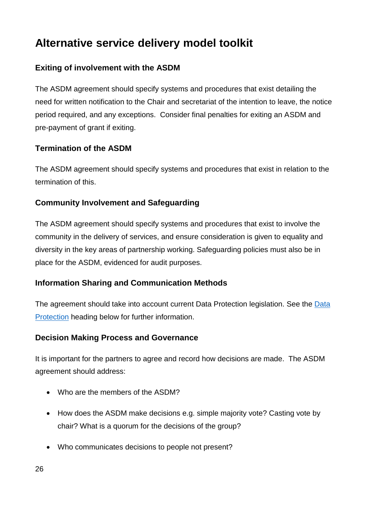### **Exiting of involvement with the ASDM**

The ASDM agreement should specify systems and procedures that exist detailing the need for written notification to the Chair and secretariat of the intention to leave, the notice period required, and any exceptions. Consider final penalties for exiting an ASDM and pre-payment of grant if exiting.

#### **Termination of the ASDM**

The ASDM agreement should specify systems and procedures that exist in relation to the termination of this.

#### **Community Involvement and Safeguarding**

The ASDM agreement should specify systems and procedures that exist to involve the community in the delivery of services, and ensure consideration is given to equality and diversity in the key areas of partnership working. Safeguarding policies must also be in place for the ASDM, evidenced for audit purposes.

#### **Information Sharing and Communication Methods**

The agreement should take into account current Data Protection legislation. See the [Data](#page-27-0)  [Protection](#page-27-0) heading below for further information.

#### **Decision Making Process and Governance**

It is important for the partners to agree and record how decisions are made. The ASDM agreement should address:

- Who are the members of the ASDM?
- How does the ASDM make decisions e.g. simple majority vote? Casting vote by chair? What is a quorum for the decisions of the group?
- Who communicates decisions to people not present?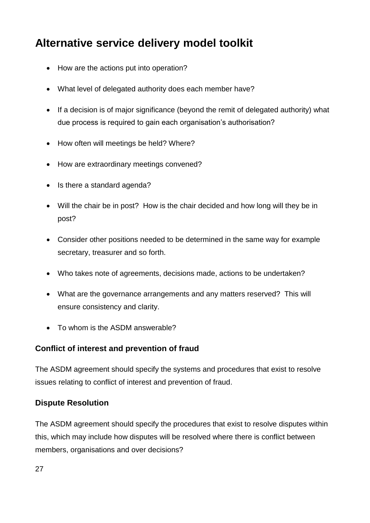- How are the actions put into operation?
- What level of delegated authority does each member have?
- If a decision is of major significance (beyond the remit of delegated authority) what due process is required to gain each organisation's authorisation?
- How often will meetings be held? Where?
- How are extraordinary meetings convened?
- Is there a standard agenda?
- Will the chair be in post? How is the chair decided and how long will they be in post?
- Consider other positions needed to be determined in the same way for example secretary, treasurer and so forth.
- Who takes note of agreements, decisions made, actions to be undertaken?
- What are the governance arrangements and any matters reserved? This will ensure consistency and clarity.
- To whom is the ASDM answerable?

#### **Conflict of interest and prevention of fraud**

The ASDM agreement should specify the systems and procedures that exist to resolve issues relating to conflict of interest and prevention of fraud.

#### **Dispute Resolution**

The ASDM agreement should specify the procedures that exist to resolve disputes within this, which may include how disputes will be resolved where there is conflict between members, organisations and over decisions?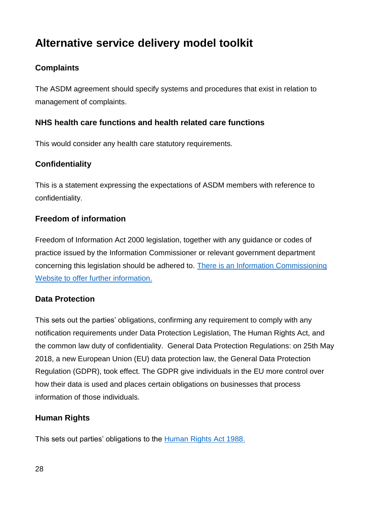### **Complaints**

The ASDM agreement should specify systems and procedures that exist in relation to management of complaints.

#### **NHS health care functions and health related care functions**

This would consider any health care statutory requirements.

#### **Confidentiality**

This is a statement expressing the expectations of ASDM members with reference to confidentiality.

#### **Freedom of information**

Freedom of Information Act 2000 legislation, together with any guidance or codes of practice issued by the Information Commissioner or relevant government department concerning this legislation should be adhered to. [There is an Information Commissioning](https://ico.org.uk/)  [Website to offer further information.](https://ico.org.uk/)

#### <span id="page-27-0"></span>**Data Protection**

This sets out the parties' obligations, confirming any requirement to comply with any notification requirements under Data Protection Legislation, The Human Rights Act, and the common law duty of confidentiality. General Data Protection Regulations: on 25th May 2018, a new European Union (EU) data protection law, the General Data Protection Regulation (GDPR), took effect. The GDPR give individuals in the EU more control over how their data is used and places certain obligations on businesses that process information of those individuals.

#### **Human Rights**

This sets out parties' obligations to the [Human Rights Act 1988.](https://www.legislation.gov.uk/ukpga/1998/42/contents)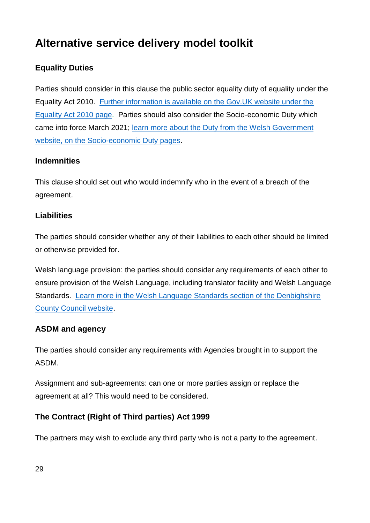### **Equality Duties**

Parties should consider in this clause the public sector equality duty of equality under the Equality Act 2010. [Further information is available on the Gov.UK website under the](https://www.gov.uk/guidance/equality-act-2010-guidance)  [Equality Act 2010](https://www.gov.uk/guidance/equality-act-2010-guidance) page. Parties should also consider the Socio-economic Duty which came into force March 2021; [learn more about the Duty from the Welsh Government](https://gov.wales/socio-economic-duty)  [website, on the Socio-economic Duty pages.](https://gov.wales/socio-economic-duty)

#### **Indemnities**

This clause should set out who would indemnify who in the event of a breach of the agreement.

#### **Liabilities**

The parties should consider whether any of their liabilities to each other should be limited or otherwise provided for.

Welsh language provision: the parties should consider any requirements of each other to ensure provision of the Welsh Language, including translator facility and Welsh Language Standards. [Learn more in the Welsh Language Standards section of the Denbighshire](https://www.denbighshire.gov.uk/en/your-council/about-the-council/welsh-language-standards.aspx)  [County Council website.](https://www.denbighshire.gov.uk/en/your-council/about-the-council/welsh-language-standards.aspx)

#### **ASDM and agency**

The parties should consider any requirements with Agencies brought in to support the ASDM.

Assignment and sub-agreements: can one or more parties assign or replace the agreement at all? This would need to be considered.

#### **The Contract (Right of Third parties) Act 1999**

The partners may wish to exclude any third party who is not a party to the agreement.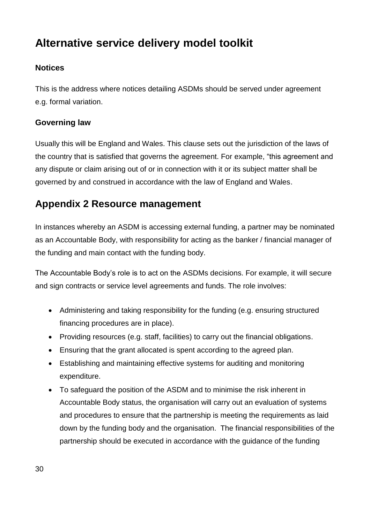#### **Notices**

This is the address where notices detailing ASDMs should be served under agreement e.g. formal variation.

#### **Governing law**

Usually this will be England and Wales. This clause sets out the jurisdiction of the laws of the country that is satisfied that governs the agreement. For example, "this agreement and any dispute or claim arising out of or in connection with it or its subject matter shall be governed by and construed in accordance with the law of England and Wales.

### <span id="page-29-0"></span>**Appendix 2 Resource management**

In instances whereby an ASDM is accessing external funding, a partner may be nominated as an Accountable Body, with responsibility for acting as the banker / financial manager of the funding and main contact with the funding body.

The Accountable Body's role is to act on the ASDMs decisions. For example, it will secure and sign contracts or service level agreements and funds. The role involves:

- Administering and taking responsibility for the funding (e.g. ensuring structured financing procedures are in place).
- Providing resources (e.g. staff, facilities) to carry out the financial obligations.
- Ensuring that the grant allocated is spent according to the agreed plan.
- Establishing and maintaining effective systems for auditing and monitoring expenditure.
- To safeguard the position of the ASDM and to minimise the risk inherent in Accountable Body status, the organisation will carry out an evaluation of systems and procedures to ensure that the partnership is meeting the requirements as laid down by the funding body and the organisation. The financial responsibilities of the partnership should be executed in accordance with the guidance of the funding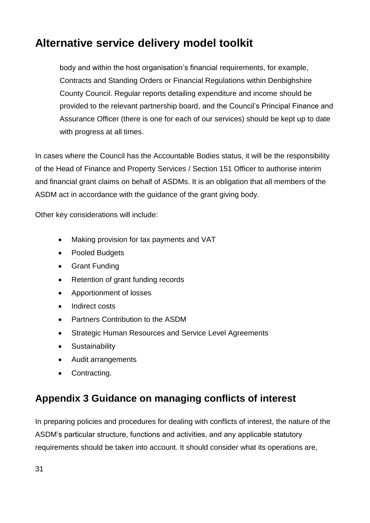body and within the host organisation's financial requirements, for example, Contracts and Standing Orders or Financial Regulations within Denbighshire County Council. Regular reports detailing expenditure and income should be provided to the relevant partnership board, and the Council's Principal Finance and Assurance Officer (there is one for each of our services) should be kept up to date with progress at all times.

In cases where the Council has the Accountable Bodies status, it will be the responsibility of the Head of Finance and Property Services / Section 151 Officer to authorise interim and financial grant claims on behalf of ASDMs. It is an obligation that all members of the ASDM act in accordance with the guidance of the grant giving body.

Other key considerations will include:

- Making provision for tax payments and VAT
- Pooled Budgets
- Grant Funding
- Retention of grant funding records
- Apportionment of losses
- Indirect costs
- Partners Contribution to the ASDM
- Strategic Human Resources and Service Level Agreements
- Sustainability
- Audit arrangements
- Contracting.

### <span id="page-30-0"></span>**Appendix 3 Guidance on managing conflicts of interest**

In preparing policies and procedures for dealing with conflicts of interest, the nature of the ASDM's particular structure, functions and activities, and any applicable statutory requirements should be taken into account. It should consider what its operations are,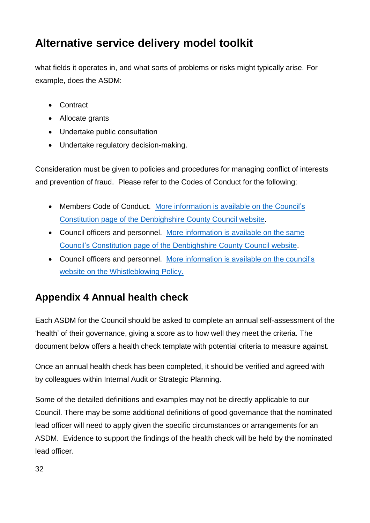what fields it operates in, and what sorts of problems or risks might typically arise. For example, does the ASDM:

- Contract
- Allocate grants
- Undertake public consultation
- Undertake regulatory decision-making.

Consideration must be given to policies and procedures for managing conflict of interests and prevention of fraud. Please refer to the Codes of Conduct for the following:

- Members Code of Conduct. [More information is available on the](https://www.denbighshire.gov.uk/en/your-council/about-the-council/council-constitution.aspx) Council's [Constitution page of the Denbighshire County Council website.](https://www.denbighshire.gov.uk/en/your-council/about-the-council/council-constitution.aspx)
- Council officers and personnel. [More information is available on the same](https://www.denbighshire.gov.uk/en/your-council/about-the-council/council-constitution.aspx)  [Council's Constitution page of the Denbighshire County Council website.](https://www.denbighshire.gov.uk/en/your-council/about-the-council/council-constitution.aspx)
- Council officers and personnel. [More information is available on the council's](https://www.denbighshire.gov.uk/en/your-council/strategies-plans-and-policies/policies/jobs-and-employees/jobs-and-employees.aspx)  website [on the Whistleblowing Policy.](https://www.denbighshire.gov.uk/en/your-council/strategies-plans-and-policies/policies/jobs-and-employees/jobs-and-employees.aspx)

### <span id="page-31-0"></span>**Appendix 4 Annual health check**

Each ASDM for the Council should be asked to complete an annual self-assessment of the 'health' of their governance, giving a score as to how well they meet the criteria. The document below offers a health check template with potential criteria to measure against.

Once an annual health check has been completed, it should be verified and agreed with by colleagues within Internal Audit or Strategic Planning.

Some of the detailed definitions and examples may not be directly applicable to our Council. There may be some additional definitions of good governance that the nominated lead officer will need to apply given the specific circumstances or arrangements for an ASDM. Evidence to support the findings of the health check will be held by the nominated lead officer.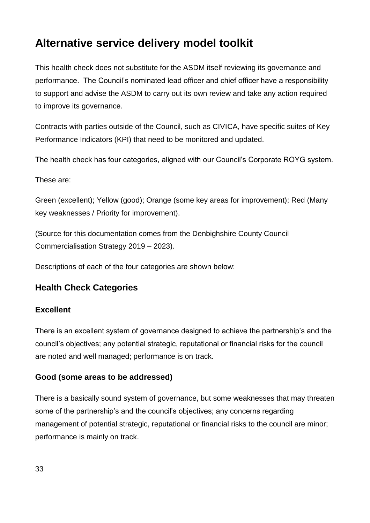This health check does not substitute for the ASDM itself reviewing its governance and performance. The Council's nominated lead officer and chief officer have a responsibility to support and advise the ASDM to carry out its own review and take any action required to improve its governance.

Contracts with parties outside of the Council, such as CIVICA, have specific suites of Key Performance Indicators (KPI) that need to be monitored and updated.

The health check has four categories, aligned with our Council's Corporate ROYG system.

These are:

Green (excellent); Yellow (good); Orange (some key areas for improvement); Red (Many key weaknesses / Priority for improvement).

(Source for this documentation comes from the Denbighshire County Council Commercialisation Strategy 2019 – 2023).

Descriptions of each of the four categories are shown below:

### <span id="page-32-0"></span>**Health Check Categories**

#### **Excellent**

There is an excellent system of governance designed to achieve the partnership's and the council's objectives; any potential strategic, reputational or financial risks for the council are noted and well managed; performance is on track.

#### **Good (some areas to be addressed)**

There is a basically sound system of governance, but some weaknesses that may threaten some of the partnership's and the council's objectives; any concerns regarding management of potential strategic, reputational or financial risks to the council are minor; performance is mainly on track.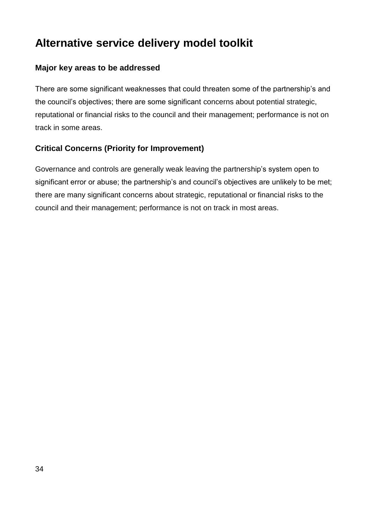#### **Major key areas to be addressed**

There are some significant weaknesses that could threaten some of the partnership's and the council's objectives; there are some significant concerns about potential strategic, reputational or financial risks to the council and their management; performance is not on track in some areas.

#### **Critical Concerns (Priority for Improvement)**

Governance and controls are generally weak leaving the partnership's system open to significant error or abuse; the partnership's and council's objectives are unlikely to be met; there are many significant concerns about strategic, reputational or financial risks to the council and their management; performance is not on track in most areas.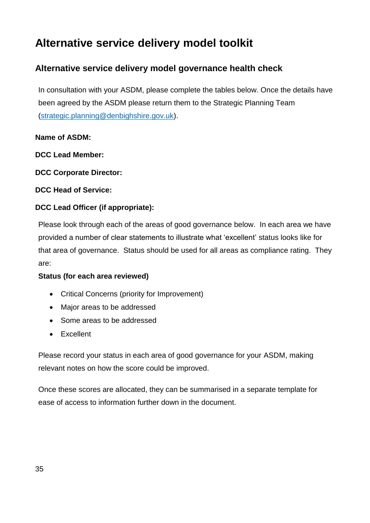### <span id="page-34-0"></span>**Alternative service delivery model governance health check**

In consultation with your ASDM, please complete the tables below. Once the details have been agreed by the ASDM please return them to the Strategic Planning Team [\(strategic.planning@denbighshire.gov.uk\)](mailto:strategic.planning@denbighshire.gov.uk).

#### **Name of ASDM:**

**DCC Lead Member:**

**DCC Corporate Director:**

**DCC Head of Service:**

#### **DCC Lead Officer (if appropriate):**

Please look through each of the areas of good governance below. In each area we have provided a number of clear statements to illustrate what 'excellent' status looks like for that area of governance. Status should be used for all areas as compliance rating. They are:

#### **Status (for each area reviewed)**

- Critical Concerns (priority for Improvement)
- Major areas to be addressed
- Some areas to be addressed
- Excellent

Please record your status in each area of good governance for your ASDM, making relevant notes on how the score could be improved.

Once these scores are allocated, they can be summarised in a separate template for ease of access to information further down in the document.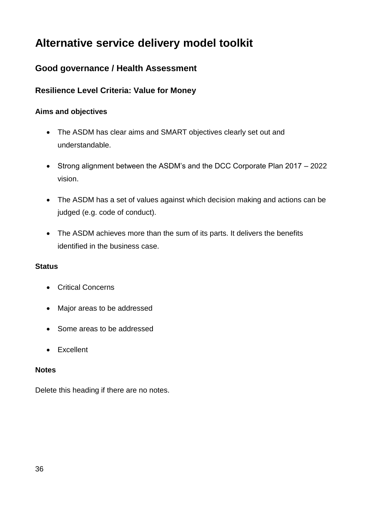### <span id="page-35-0"></span>**Good governance / Health Assessment**

#### **Resilience Level Criteria: Value for Money**

#### **Aims and objectives**

- The ASDM has clear aims and SMART objectives clearly set out and understandable.
- Strong alignment between the ASDM's and the DCC Corporate Plan 2017 2022 vision.
- The ASDM has a set of values against which decision making and actions can be judged (e.g. code of conduct).
- The ASDM achieves more than the sum of its parts. It delivers the benefits identified in the business case.

#### **Status**

- Critical Concerns
- Major areas to be addressed
- Some areas to be addressed
- Excellent

#### **Notes**

Delete this heading if there are no notes.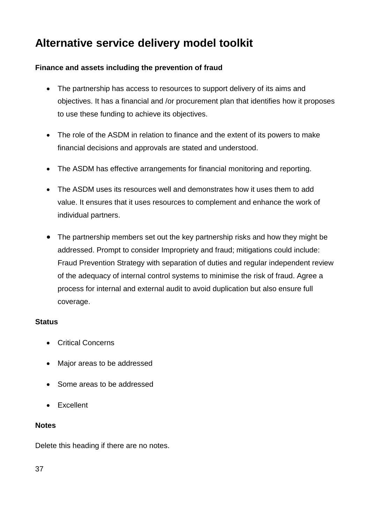#### **Finance and assets including the prevention of fraud**

- The partnership has access to resources to support delivery of its aims and objectives. It has a financial and /or procurement plan that identifies how it proposes to use these funding to achieve its objectives.
- The role of the ASDM in relation to finance and the extent of its powers to make financial decisions and approvals are stated and understood.
- The ASDM has effective arrangements for financial monitoring and reporting.
- The ASDM uses its resources well and demonstrates how it uses them to add value. It ensures that it uses resources to complement and enhance the work of individual partners.
- The partnership members set out the key partnership risks and how they might be addressed. Prompt to consider Impropriety and fraud; mitigations could include: Fraud Prevention Strategy with separation of duties and regular independent review of the adequacy of internal control systems to minimise the risk of fraud. Agree a process for internal and external audit to avoid duplication but also ensure full coverage.

#### **Status**

- Critical Concerns
- Major areas to be addressed
- Some areas to be addressed
- Excellent

#### **Notes**

Delete this heading if there are no notes.

37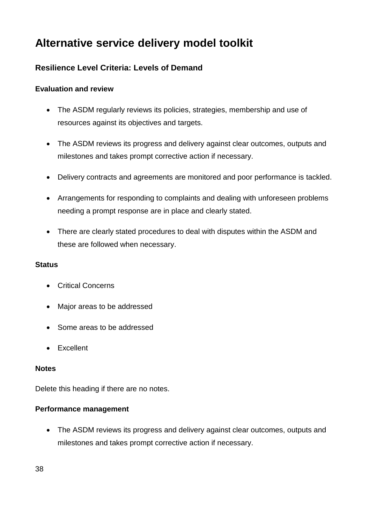### **Resilience Level Criteria: Levels of Demand**

#### **Evaluation and review**

- The ASDM regularly reviews its policies, strategies, membership and use of resources against its objectives and targets.
- The ASDM reviews its progress and delivery against clear outcomes, outputs and milestones and takes prompt corrective action if necessary.
- Delivery contracts and agreements are monitored and poor performance is tackled.
- Arrangements for responding to complaints and dealing with unforeseen problems needing a prompt response are in place and clearly stated.
- There are clearly stated procedures to deal with disputes within the ASDM and these are followed when necessary.

#### **Status**

- Critical Concerns
- Major areas to be addressed
- Some areas to be addressed
- Excellent

#### **Notes**

Delete this heading if there are no notes.

#### **Performance management**

 The ASDM reviews its progress and delivery against clear outcomes, outputs and milestones and takes prompt corrective action if necessary.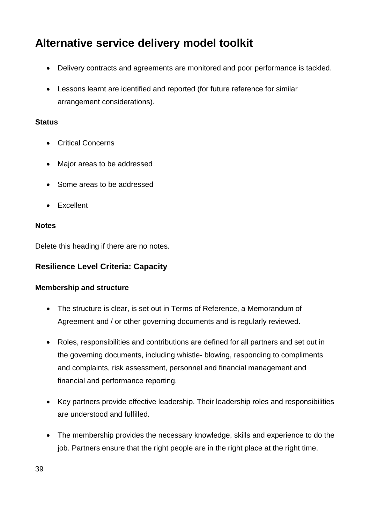- Delivery contracts and agreements are monitored and poor performance is tackled.
- Lessons learnt are identified and reported (for future reference for similar arrangement considerations).

#### **Status**

- Critical Concerns
- Major areas to be addressed
- Some areas to be addressed
- Excellent

#### **Notes**

Delete this heading if there are no notes.

#### **Resilience Level Criteria: Capacity**

#### **Membership and structure**

- The structure is clear, is set out in Terms of Reference, a Memorandum of Agreement and / or other governing documents and is regularly reviewed.
- Roles, responsibilities and contributions are defined for all partners and set out in the governing documents, including whistle- blowing, responding to compliments and complaints, risk assessment, personnel and financial management and financial and performance reporting.
- Key partners provide effective leadership. Their leadership roles and responsibilities are understood and fulfilled.
- The membership provides the necessary knowledge, skills and experience to do the job. Partners ensure that the right people are in the right place at the right time.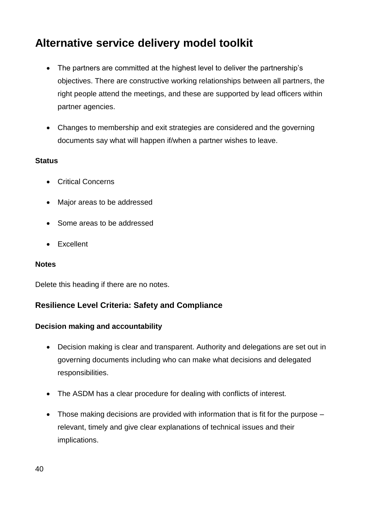- The partners are committed at the highest level to deliver the partnership's objectives. There are constructive working relationships between all partners, the right people attend the meetings, and these are supported by lead officers within partner agencies.
- Changes to membership and exit strategies are considered and the governing documents say what will happen if/when a partner wishes to leave.

#### **Status**

- Critical Concerns
- Major areas to be addressed
- Some areas to be addressed
- Excellent

#### **Notes**

Delete this heading if there are no notes.

#### **Resilience Level Criteria: Safety and Compliance**

#### **Decision making and accountability**

- Decision making is clear and transparent. Authority and delegations are set out in governing documents including who can make what decisions and delegated responsibilities.
- The ASDM has a clear procedure for dealing with conflicts of interest.
- Those making decisions are provided with information that is fit for the purpose relevant, timely and give clear explanations of technical issues and their implications.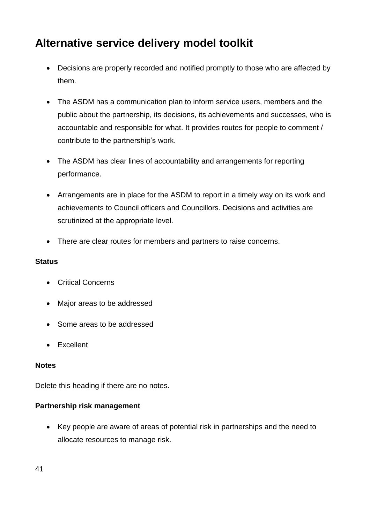- Decisions are properly recorded and notified promptly to those who are affected by them.
- The ASDM has a communication plan to inform service users, members and the public about the partnership, its decisions, its achievements and successes, who is accountable and responsible for what. It provides routes for people to comment / contribute to the partnership's work.
- The ASDM has clear lines of accountability and arrangements for reporting performance.
- Arrangements are in place for the ASDM to report in a timely way on its work and achievements to Council officers and Councillors. Decisions and activities are scrutinized at the appropriate level.
- There are clear routes for members and partners to raise concerns.

#### **Status**

- Critical Concerns
- Major areas to be addressed
- Some areas to be addressed
- Excellent

#### **Notes**

Delete this heading if there are no notes.

#### **Partnership risk management**

 Key people are aware of areas of potential risk in partnerships and the need to allocate resources to manage risk.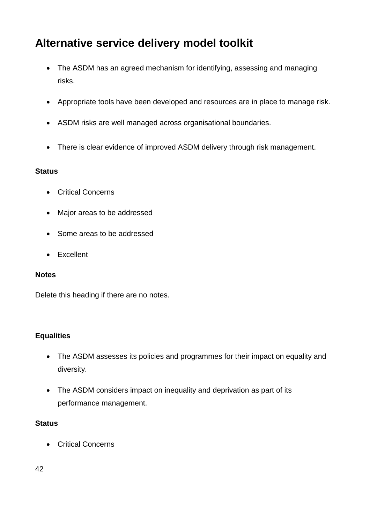- The ASDM has an agreed mechanism for identifying, assessing and managing risks.
- Appropriate tools have been developed and resources are in place to manage risk.
- ASDM risks are well managed across organisational boundaries.
- There is clear evidence of improved ASDM delivery through risk management.

#### **Status**

- Critical Concerns
- Major areas to be addressed
- Some areas to be addressed
- Excellent

#### **Notes**

Delete this heading if there are no notes.

#### **Equalities**

- The ASDM assesses its policies and programmes for their impact on equality and diversity.
- The ASDM considers impact on inequality and deprivation as part of its performance management.

#### **Status**

Critical Concerns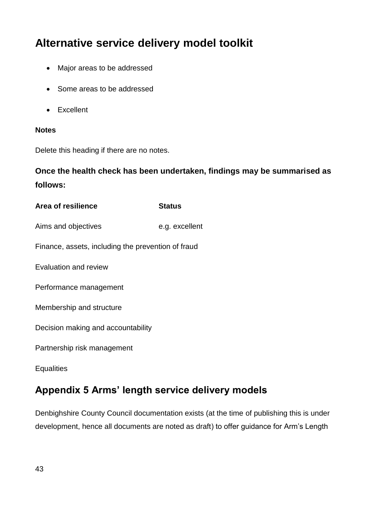- Major areas to be addressed
- Some areas to be addressed
- Excellent

#### **Notes**

Delete this heading if there are no notes.

**Once the health check has been undertaken, findings may be summarised as follows:**

| Area of resilience                                 | <b>Status</b>  |  |
|----------------------------------------------------|----------------|--|
| Aims and objectives                                | e.g. excellent |  |
| Finance, assets, including the prevention of fraud |                |  |
| Evaluation and review                              |                |  |
| Performance management                             |                |  |
| Membership and structure                           |                |  |
| Decision making and accountability                 |                |  |
| Partnership risk management                        |                |  |
| Equalities                                         |                |  |

### <span id="page-42-0"></span>**Appendix 5 Arms' length service delivery models**

Denbighshire County Council documentation exists (at the time of publishing this is under development, hence all documents are noted as draft) to offer guidance for Arm's Length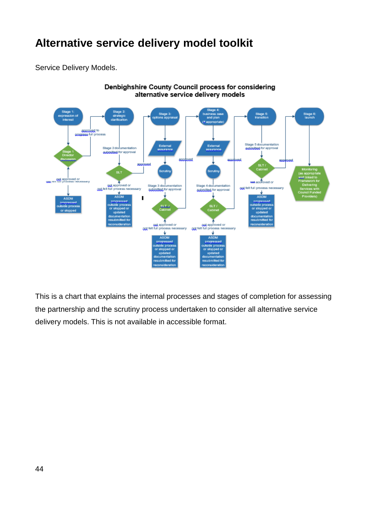Service Delivery Models.



Denbighshire County Council process for considering alternative service delivery models

This is a chart that explains the internal processes and stages of completion for assessing the partnership and the scrutiny process undertaken to consider all alternative service delivery models. This is not available in accessible format.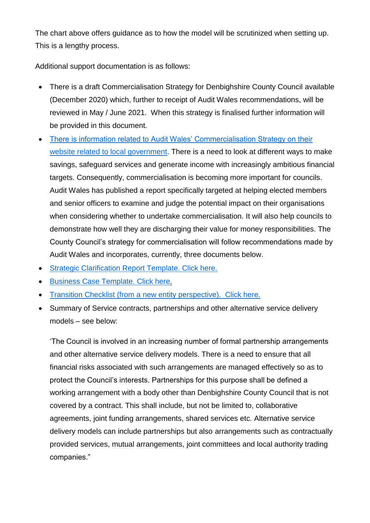The chart above offers guidance as to how the model will be scrutinized when setting up. This is a lengthy process.

Additional support documentation is as follows:

- There is a draft Commercialisation Strategy for Denbighshire County Council available (December 2020) which, further to receipt of Audit Wales recommendations, will be reviewed in May / June 2021. When this strategy is finalised further information will be provided in this document.
- [There is information related to Audit Wales' Commercialisation Strategy on their](https://audit.wales/publication/commercialisation-local-government)  [website related to local government.](https://audit.wales/publication/commercialisation-local-government) There is a need to look at different ways to make savings, safeguard services and generate income with increasingly ambitious financial targets. Consequently, commercialisation is becoming more important for councils. Audit Wales has published a report specifically targeted at helping elected members and senior officers to examine and judge the potential impact on their organisations when considering whether to undertake commercialisation. It will also help councils to demonstrate how well they are discharging their value for money responsibilities. The County Council's strategy for commercialisation will follow recommendations made by Audit Wales and incorporates, currently, three documents below.
- [Strategic Clarification Report Template. Click here.](http://linc-ad/sorce/apps/sorce_doc_manager/Actions/view_doc.aspx?docid=111241&revid=112876)
- **[Business Case Template. Click here.](http://linc-ad/sorce/apps/sorce_doc_manager/Actions/view_doc.aspx?docid=111238&revid=112873)**
- [Transition Checklist \(from a new entity perspective\). Click here.](http://linc-ad/sorce/apps/sorce_doc_manager/Actions/view_doc.aspx?docid=111239&revid=112874)
- Summary of Service contracts, partnerships and other alternative service delivery models – see below:

'The Council is involved in an increasing number of formal partnership arrangements and other alternative service delivery models. There is a need to ensure that all financial risks associated with such arrangements are managed effectively so as to protect the Council's interests. Partnerships for this purpose shall be defined a working arrangement with a body other than Denbighshire County Council that is not covered by a contract. This shall include, but not be limited to, collaborative agreements, joint funding arrangements, shared services etc. Alternative service delivery models can include partnerships but also arrangements such as contractually provided services, mutual arrangements, joint committees and local authority trading companies."